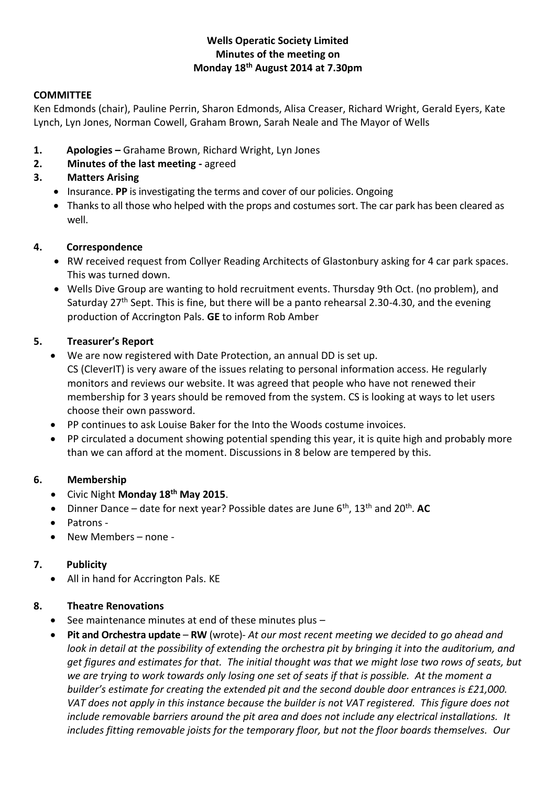## **Wells Operatic Society Limited Minutes of the meeting on Monday 18th August 2014 at 7.30pm**

#### **COMMITTEE**

Ken Edmonds (chair), Pauline Perrin, Sharon Edmonds, Alisa Creaser, Richard Wright, Gerald Eyers, Kate Lynch, Lyn Jones, Norman Cowell, Graham Brown, Sarah Neale and The Mayor of Wells

- **1. Apologies –** Grahame Brown, Richard Wright, Lyn Jones
- **2. Minutes of the last meeting -** agreed
- **3. Matters Arising**
	- **•** Insurance. PP is investigating the terms and cover of our policies. Ongoing
	- Thanks to all those who helped with the props and costumes sort. The car park has been cleared as well.

## **4. Correspondence**

- RW received request from Collyer Reading Architects of Glastonbury asking for 4 car park spaces. This was turned down.
- Wells Dive Group are wanting to hold recruitment events. Thursday 9th Oct. (no problem), and Saturday 27<sup>th</sup> Sept. This is fine, but there will be a panto rehearsal 2.30-4.30, and the evening production of Accrington Pals. **GE** to inform Rob Amber

## **5. Treasurer's Report**

- We are now registered with Date Protection, an annual DD is set up. CS (CleverIT) is very aware of the issues relating to personal information access. He regularly monitors and reviews our website. It was agreed that people who have not renewed their membership for 3 years should be removed from the system. CS is looking at ways to let users choose their own password.
- PP continues to ask Louise Baker for the Into the Woods costume invoices.
- PP circulated a document showing potential spending this year, it is quite high and probably more than we can afford at the moment. Discussions in 8 below are tempered by this.

## **6. Membership**

- Civic Night **Monday 18th May 2015**.
- Dinner Dance date for next year? Possible dates are June 6<sup>th</sup>, 13<sup>th</sup> and 20<sup>th</sup>. **AC**
- Patrons -
- New Members none -

## **7. Publicity**

• All in hand for Accrington Pals. KE

## **8. Theatre Renovations**

- $\bullet$  See maintenance minutes at end of these minutes plus  $-$
- **Pit and Orchestra update RW** (wrote)- *At our most recent meeting we decided to go ahead and look in detail at the possibility of extending the orchestra pit by bringing it into the auditorium, and get figures and estimates for that. The initial thought was that we might lose two rows of seats, but we are trying to work towards only losing one set of seats if that is possible. At the moment a builder's estimate for creating the extended pit and the second double door entrances is £21,000. VAT does not apply in this instance because the builder is not VAT registered. This figure does not include removable barriers around the pit area and does not include any electrical installations. It includes fitting removable joists for the temporary floor, but not the floor boards themselves. Our*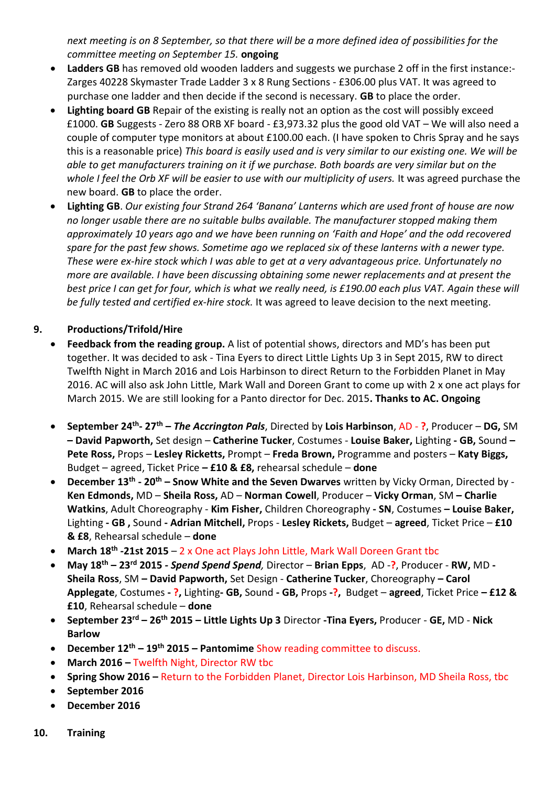*next meeting is on 8 September, so that there will be a more defined idea of possibilities for the committee meeting on September 15.* **ongoing**

- **Ladders GB** has removed old wooden ladders and suggests we purchase 2 off in the first instance:- Zarges 40228 Skymaster Trade Ladder 3 x 8 Rung Sections - £306.00 plus VAT. It was agreed to purchase one ladder and then decide if the second is necessary. **GB** to place the order.
- **Lighting board GB** Repair of the existing is really not an option as the cost will possibly exceed £1000. **GB** Suggests - Zero 88 ORB XF board - £3,973.32 plus the good old VAT – We will also need a couple of computer type monitors at about £100.00 each. (I have spoken to Chris Spray and he says this is a reasonable price) *This board is easily used and is very similar to our existing one. We will be able to get manufacturers training on it if we purchase. Both boards are very similar but on the*  whole I feel the Orb XF will be easier to use with our multiplicity of users. It was agreed purchase the new board. **GB** to place the order.
- **Lighting GB**. *Our existing four Strand 264 'Banana' Lanterns which are used front of house are now no longer usable there are no suitable bulbs available. The manufacturer stopped making them approximately 10 years ago and we have been running on 'Faith and Hope' and the odd recovered spare for the past few shows. Sometime ago we replaced six of these lanterns with a newer type. These were ex-hire stock which I was able to get at a very advantageous price. Unfortunately no more are available. I have been discussing obtaining some newer replacements and at present the best price I can get for four, which is what we really need, is £190.00 each plus VAT. Again these will be fully tested and certified ex-hire stock.* It was agreed to leave decision to the next meeting.

# **9. Productions/Trifold/Hire**

- **Feedback from the reading group.** A list of potential shows, directors and MD's has been put together. It was decided to ask - Tina Eyers to direct Little Lights Up 3 in Sept 2015, RW to direct Twelfth Night in March 2016 and Lois Harbinson to direct Return to the Forbidden Planet in May 2016. AC will also ask John Little, Mark Wall and Doreen Grant to come up with 2 x one act plays for March 2015. We are still looking for a Panto director for Dec. 2015**. Thanks to AC. Ongoing**
- **September 24th - 27th –** *The Accrington Pals*, Directed by **Lois Harbinson**, AD **?**, Producer **DG,** SM **– David Papworth,** Set design – **Catherine Tucker**, Costumes - **Louise Baker,** Lighting **- GB,** Sound **– Pete Ross,** Props – **Lesley Ricketts,** Prompt – **Freda Brown,** Programme and posters – **Katy Biggs,**  Budget – agreed, Ticket Price **– £10 & £8,** rehearsal schedule – **done**
- **December 13th - 20th – Snow White and the Seven Dwarves** written by Vicky Orman, Directed by **Ken Edmonds,** MD – **Sheila Ross,** AD – **Norman Cowell**, Producer – **Vicky Orman**, SM **– Charlie Watkins**, Adult Choreography - **Kim Fisher,** Children Choreography **- SN**, Costumes **– Louise Baker,**  Lighting **- GB ,** Sound **- Adrian Mitchell,** Props - **Lesley Rickets,** Budget – **agreed**, Ticket Price – **£10 & £8**, Rehearsal schedule – **done**
- **March 18th -21st 2015** 2 x One act Plays John Little, Mark Wall Doreen Grant tbc
- **May 18th – 23rd 2015** *- Spend Spend Spend,* Director **Brian Epps**, AD -**?**, Producer **RW,** MD **- Sheila Ross**, SM **– David Papworth,** Set Design - **Catherine Tucker**, Choreography **– Carol Applegate**, Costumes **- ?,** Lighting**- GB,** Sound **- GB,** Props **-?,** Budget – **agreed**, Ticket Price **– £12 & £10**, Rehearsal schedule – **done**
- **September 23rd – 26th 2015 – Little Lights Up 3** Director **-Tina Eyers,** Producer **GE,** MD **Nick Barlow**
- **December 12th – 19th 2015 – Pantomime** Show reading committee to discuss.
- **March 2016 –** Twelfth Night, Director RW tbc
- **Spring Show 2016 –** Return to the Forbidden Planet, Director Lois Harbinson, MD Sheila Ross, tbc
- **September 2016**
- **December 2016**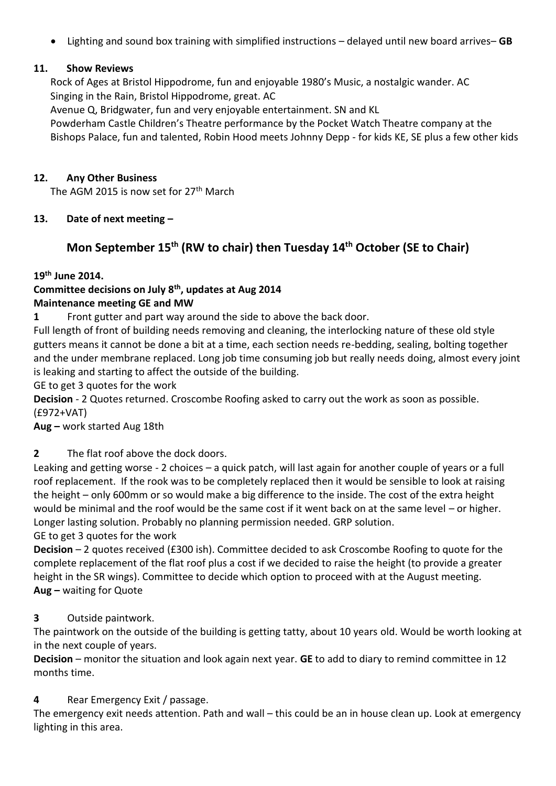Lighting and sound box training with simplified instructions – delayed until new board arrives– **GB**

## **11. Show Reviews**

Rock of Ages at Bristol Hippodrome, fun and enjoyable 1980's Music, a nostalgic wander. AC Singing in the Rain, Bristol Hippodrome, great. AC

Avenue Q, Bridgwater, fun and very enjoyable entertainment. SN and KL

Powderham Castle Children's Theatre performance by the Pocket Watch Theatre company at the Bishops Palace, fun and talented, Robin Hood meets Johnny Depp - for kids KE, SE plus a few other kids

## **12. Any Other Business**

The AGM 2015 is now set for 27<sup>th</sup> March

# **13. Date of next meeting –**

# **Mon September 15th (RW to chair) then Tuesday 14th October (SE to Chair)**

# **19th June 2014.**

## **Committee decisions on July 8th, updates at Aug 2014 Maintenance meeting GE and MW**

**1** Front gutter and part way around the side to above the back door.

Full length of front of building needs removing and cleaning, the interlocking nature of these old style gutters means it cannot be done a bit at a time, each section needs re-bedding, sealing, bolting together and the under membrane replaced. Long job time consuming job but really needs doing, almost every joint is leaking and starting to affect the outside of the building.

GE to get 3 quotes for the work

**Decision** - 2 Quotes returned. Croscombe Roofing asked to carry out the work as soon as possible. (£972+VAT)

# **Aug –** work started Aug 18th

**2** The flat roof above the dock doors.

Leaking and getting worse - 2 choices – a quick patch, will last again for another couple of years or a full roof replacement. If the rook was to be completely replaced then it would be sensible to look at raising the height – only 600mm or so would make a big difference to the inside. The cost of the extra height would be minimal and the roof would be the same cost if it went back on at the same level – or higher. Longer lasting solution. Probably no planning permission needed. GRP solution.

GE to get 3 quotes for the work

**Decision** – 2 quotes received (£300 ish). Committee decided to ask Croscombe Roofing to quote for the complete replacement of the flat roof plus a cost if we decided to raise the height (to provide a greater height in the SR wings). Committee to decide which option to proceed with at the August meeting. **Aug –** waiting for Quote

# **3** Outside paintwork.

The paintwork on the outside of the building is getting tatty, about 10 years old. Would be worth looking at in the next couple of years.

**Decision** – monitor the situation and look again next year. **GE** to add to diary to remind committee in 12 months time.

# **4** Rear Emergency Exit / passage.

The emergency exit needs attention. Path and wall – this could be an in house clean up. Look at emergency lighting in this area.